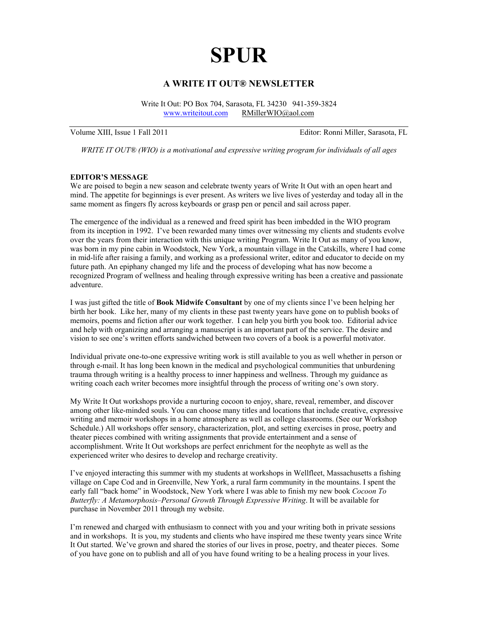# **SPUR**

# **A WRITE IT OUT® NEWSLETTER**

Write It Out: PO Box 704, Sarasota, FL 34230 941-359-3824 [www.writeitout.com](http://www.writeitout.com/) [RMillerWIO@aol.com](mailto:RMillerWIO@aol.com)

Volume XIII, Issue 1 Fall 2011 Editor: Ronni Miller, Sarasota, FL

*WRITE IT OUT® (WIO) is a motivational and expressive writing program for individuals of all ages* 

## **EDITOR'S MESSAGE**

We are poised to begin a new season and celebrate twenty years of Write It Out with an open heart and mind. The appetite for beginnings is ever present. As writers we live lives of yesterday and today all in the same moment as fingers fly across keyboards or grasp pen or pencil and sail across paper.

The emergence of the individual as a renewed and freed spirit has been imbedded in the WIO program from its inception in 1992. I've been rewarded many times over witnessing my clients and students evolve over the years from their interaction with this unique writing Program. Write It Out as many of you know, was born in my pine cabin in Woodstock, New York, a mountain village in the Catskills, where I had come in mid-life after raising a family, and working as a professional writer, editor and educator to decide on my future path. An epiphany changed my life and the process of developing what has now become a recognized Program of wellness and healing through expressive writing has been a creative and passionate adventure.

I was just gifted the title of **Book Midwife Consultant** by one of my clients since I've been helping her birth her book. Like her, many of my clients in these past twenty years have gone on to publish books of memoirs, poems and fiction after our work together. I can help you birth you book too. Editorial advice and help with organizing and arranging a manuscript is an important part of the service. The desire and vision to see one's written efforts sandwiched between two covers of a book is a powerful motivator.

Individual private one-to-one expressive writing work is still available to you as well whether in person or through e-mail. It has long been known in the medical and psychological communities that unburdening trauma through writing is a healthy process to inner happiness and wellness. Through my guidance as writing coach each writer becomes more insightful through the process of writing one's own story.

My Write It Out workshops provide a nurturing cocoon to enjoy, share, reveal, remember, and discover among other like-minded souls. You can choose many titles and locations that include creative, expressive writing and memoir workshops in a home atmosphere as well as college classrooms. (See our Workshop Schedule.) All workshops offer sensory, characterization, plot, and setting exercises in prose, poetry and theater pieces combined with writing assignments that provide entertainment and a sense of accomplishment. Write It Out workshops are perfect enrichment for the neophyte as well as the experienced writer who desires to develop and recharge creativity.

I've enjoyed interacting this summer with my students at workshops in Wellfleet, Massachusetts a fishing village on Cape Cod and in Greenville, New York, a rural farm community in the mountains. I spent the early fall "back home" in Woodstock, New York where I was able to finish my new book *Cocoon To Butterfly: A Metamorphosis–Personal Growth Through Expressive Writing*. It will be available for purchase in November 2011 through my website.

I'm renewed and charged with enthusiasm to connect with you and your writing both in private sessions and in workshops. It is you, my students and clients who have inspired me these twenty years since Write It Out started. We've grown and shared the stories of our lives in prose, poetry, and theater pieces. Some of you have gone on to publish and all of you have found writing to be a healing process in your lives.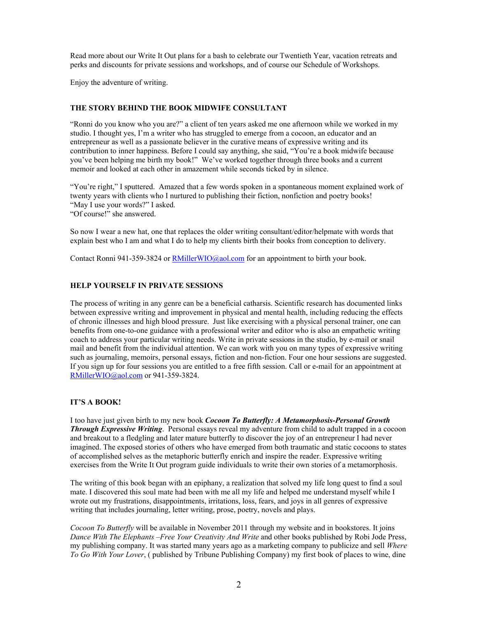Read more about our Write It Out plans for a bash to celebrate our Twentieth Year, vacation retreats and perks and discounts for private sessions and workshops, and of course our Schedule of Workshops.

Enjoy the adventure of writing.  $\overline{a}$ 

# **THE STORY BEHIND THE BOOK MIDWIFE CONSULTANT**

"Ronni do you know who you are?" a client of ten years asked me one afternoon while we worked in my studio. I thought yes, I'm a writer who has struggled to emerge from a cocoon, an educator and an entrepreneur as well as a passionate believer in the curative means of expressive writing and its contribution to inner happiness. Before I could say anything, she said, "You're a book midwife because you've been helping me birth my book!" We've worked together through three books and a current memoir and looked at each other in amazement while seconds ticked by in silence.

"You're right," I sputtered. Amazed that a few words spoken in a spontaneous moment explained work of twenty years with clients who I nurtured to publishing their fiction, nonfiction and poetry books! "May I use your words?" I asked.

"Of course!" she answered.

So now I wear a new hat, one that replaces the older writing consultant/editor/helpmate with words that explain best who I am and what I do to help my clients birth their books from conception to delivery.

Contact Ronni 941-359-3824 or [RMillerWIO@aol.com](mailto:RMillerWIO@aol.com) for an appointment to birth your book.

# **HELP YOURSELF IN PRIVATE SESSIONS**

The process of writing in any genre can be a beneficial catharsis. Scientific research has documented links between expressive writing and improvement in physical and mental health, including reducing the effects of chronic illnesses and high blood pressure. Just like exercising with a physical personal trainer, one can benefits from one-to-one guidance with a professional writer and editor who is also an empathetic writing coach to address your particular writing needs. Write in private sessions in the studio, by e-mail or snail mail and benefit from the individual attention. We can work with you on many types of expressive writing such as journaling, memoirs, personal essays, fiction and non-fiction. Four one hour sessions are suggested. If you sign up for four sessions you are entitled to a free fifth session. Call or e-mail for an appointment at [RMillerWIO@aol.com](mailto:RMillerWIO@aol.com) or 941-359-3824.

## **IT'S A BOOK!**

I too have just given birth to my new book *Cocoon To Butterfly: A Metamorphosis-Personal Growth Through Expressive Writing*. Personal essays reveal my adventure from child to adult trapped in a cocoon and breakout to a fledgling and later mature butterfly to discover the joy of an entrepreneur I had never imagined. The exposed stories of others who have emerged from both traumatic and static cocoons to states of accomplished selves as the metaphoric butterfly enrich and inspire the reader. Expressive writing exercises from the Write It Out program guide individuals to write their own stories of a metamorphosis.

The writing of this book began with an epiphany, a realization that solved my life long quest to find a soul mate. I discovered this soul mate had been with me all my life and helped me understand myself while I wrote out my frustrations, disappointments, irritations, loss, fears, and joys in all genres of expressive writing that includes journaling, letter writing, prose, poetry, novels and plays.

*Cocoon To Butterfly* will be available in November 2011 through my website and in bookstores. It joins *Dance With The Elephants –Free Your Creativity And Write* and other books published by Robi Jode Press, my publishing company. It was started many years ago as a marketing company to publicize and sell *Where To Go With Your Lover*, ( published by Tribune Publishing Company) my first book of places to wine, dine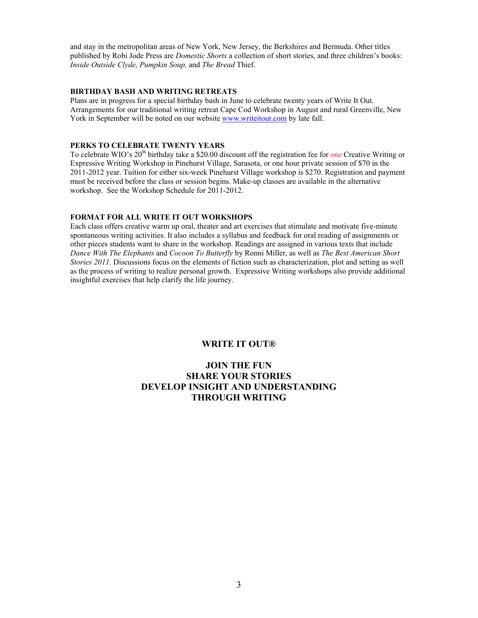and stay in the metropolitan areas of New York, New Jersey, the Berkshires and Bermuda. Other titles published by Robi Jode Press are *Domestic Shorts* a collection of short stories, and three children's books: *Inside Outside Clyde, Pumpkin Soup,* and *The Bread* Thief.

## **BIRTHDAY BASH AND WRITING RETREATS**

Plans are in progress for a special birthday bash in June to celebrate twenty years of Write It Out. Arrangements for our traditional writing retreat Cape Cod Workshop in August and rural Greenville, New York in September will be noted on our website <www.writeitout.com>by late fall.

### **PERKS TO CELEBRATE TWENTY YEARS**

To celebrate WIO's 20<sup>th</sup> birthday take a \$20.00 discount off the registration fee for *one* Creative Writing or Expressive Writing Workshop in Pinehurst Village, Sarasota, or one hour private session of \$70 in the 2011-2012 year. Tuition for either six-week Pinehurst Village workshop is \$270. Registration and payment must be received before the class or session begins. Make-up classes are available in the alternative workshop. See the Workshop Schedule for 2011-2012.

## **FORMAT FOR ALL WRITE IT OUT WORKSHOPS**

Each class offers creative warm up oral, theater and art exercises that stimulate and motivate five-minute spontaneous writing activities. It also includes a syllabus and feedback for oral reading of assignments or other pieces students want to share in the workshop. Readings are assigned in various texts that include *Dance With The Elephants* and *Cocoon To Butterfly* by Ronni Miller, as well as *The Best American Short Stories 2011*. Discussions focus on the elements of fiction such as characterization, plot and setting as well as the process of writing to realize personal growth. Expressive Writing workshops also provide additional insightful exercises that help clarify the life journey.

## **WRITE IT OUT®**

# **JOIN THE FUN SHARE YOUR STORIES DEVELOP INSIGHT AND UNDERSTANDING THROUGH WRITING**